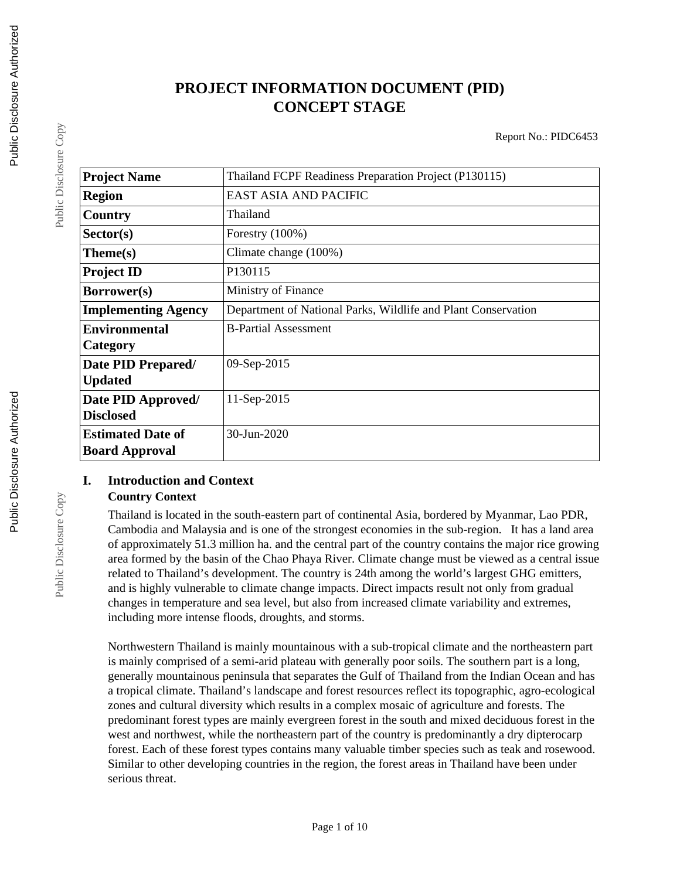# **PROJECT INFORMATION DOCUMENT (PID) CONCEPT STAGE**

Report No.: PIDC6453

| <b>Project Name</b>        | Thailand FCPF Readiness Preparation Project (P130115)         |
|----------------------------|---------------------------------------------------------------|
| <b>Region</b>              | EAST ASIA AND PACIFIC                                         |
| Country                    | Thailand                                                      |
| Sector(s)                  | Forestry $(100\%)$                                            |
| Theme(s)                   | Climate change (100%)                                         |
| <b>Project ID</b>          | P130115                                                       |
| Borrower(s)                | Ministry of Finance                                           |
| <b>Implementing Agency</b> | Department of National Parks, Wildlife and Plant Conservation |
| <b>Environmental</b>       | <b>B-Partial Assessment</b>                                   |
| Category                   |                                                               |
| Date PID Prepared/         | 09-Sep-2015                                                   |
| <b>Updated</b>             |                                                               |
| Date PID Approved/         | 11-Sep-2015                                                   |
| <b>Disclosed</b>           |                                                               |
| <b>Estimated Date of</b>   | 30-Jun-2020                                                   |
| <b>Board Approval</b>      |                                                               |

## **I. Introduction and Context**

#### **Country Context**

Thailand is located in the south-eastern part of continental Asia, bordered by Myanmar, Lao PDR, Cambodia and Malaysia and is one of the strongest economies in the sub-region. It has a land area of approximately 51.3 million ha. and the central part of the country contains the major rice growing area formed by the basin of the Chao Phaya River. Climate change must be viewed as a central issue related to Thailand's development. The country is 24th among the world's largest GHG emitters, and is highly vulnerable to climate change impacts. Direct impacts result not only from gradual changes in temperature and sea level, but also from increased climate variability and extremes, including more intense floods, droughts, and storms.

Northwestern Thailand is mainly mountainous with a sub-tropical climate and the northeastern part is mainly comprised of a semi-arid plateau with generally poor soils. The southern part is a long, generally mountainous peninsula that separates the Gulf of Thailand from the Indian Ocean and has a tropical climate. Thailand's landscape and forest resources reflect its topographic, agro-ecological zones and cultural diversity which results in a complex mosaic of agriculture and forests. The predominant forest types are mainly evergreen forest in the south and mixed deciduous forest in the west and northwest, while the northeastern part of the country is predominantly a dry dipterocarp forest. Each of these forest types contains many valuable timber species such as teak and rosewood. Similar to other developing countries in the region, the forest areas in Thailand have been under serious threat.

Public Disclosure Copy

Public Disclosure Copy

Public Disclosure Copy

Public Disclosure Copy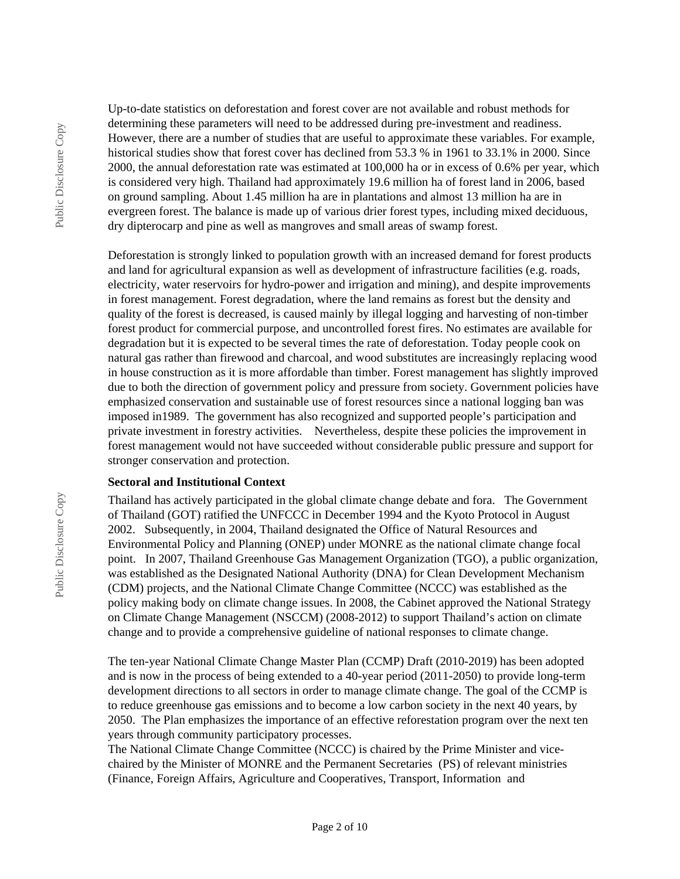Public Disclosure Copy

Public Disclosure Copy

Up-to-date statistics on deforestation and forest cover are not available and robust methods for determining these parameters will need to be addressed during pre-investment and readiness. However, there are a number of studies that are useful to approximate these variables. For example, historical studies show that forest cover has declined from 53.3 % in 1961 to 33.1% in 2000. Since 2000, the annual deforestation rate was estimated at 100,000 ha or in excess of 0.6% per year, which is considered very high. Thailand had approximately 19.6 million ha of forest land in 2006, based on ground sampling. About 1.45 million ha are in plantations and almost 13 million ha are in evergreen forest. The balance is made up of various drier forest types, including mixed deciduous, dry dipterocarp and pine as well as mangroves and small areas of swamp forest.

Deforestation is strongly linked to population growth with an increased demand for forest products and land for agricultural expansion as well as development of infrastructure facilities (e.g. roads, electricity, water reservoirs for hydro-power and irrigation and mining), and despite improvements in forest management. Forest degradation, where the land remains as forest but the density and quality of the forest is decreased, is caused mainly by illegal logging and harvesting of non-timber forest product for commercial purpose, and uncontrolled forest fires. No estimates are available for degradation but it is expected to be several times the rate of deforestation. Today people cook on natural gas rather than firewood and charcoal, and wood substitutes are increasingly replacing wood in house construction as it is more affordable than timber. Forest management has slightly improved due to both the direction of government policy and pressure from society. Government policies have emphasized conservation and sustainable use of forest resources since a national logging ban was imposed in1989. The government has also recognized and supported people's participation and private investment in forestry activities. Nevertheless, despite these policies the improvement in forest management would not have succeeded without considerable public pressure and support for stronger conservation and protection.

#### **Sectoral and Institutional Context**

Thailand has actively participated in the global climate change debate and fora. The Government of Thailand (GOT) ratified the UNFCCC in December 1994 and the Kyoto Protocol in August 2002. Subsequently, in 2004, Thailand designated the Office of Natural Resources and Environmental Policy and Planning (ONEP) under MONRE as the national climate change focal point. In 2007, Thailand Greenhouse Gas Management Organization (TGO), a public organization, was established as the Designated National Authority (DNA) for Clean Development Mechanism (CDM) projects, and the National Climate Change Committee (NCCC) was established as the policy making body on climate change issues. In 2008, the Cabinet approved the National Strategy on Climate Change Management (NSCCM) (2008-2012) to support Thailand's action on climate change and to provide a comprehensive guideline of national responses to climate change.

The ten-year National Climate Change Master Plan (CCMP) Draft (2010-2019) has been adopted and is now in the process of being extended to a 40-year period (2011-2050) to provide long-term development directions to all sectors in order to manage climate change. The goal of the CCMP is to reduce greenhouse gas emissions and to become a low carbon society in the next 40 years, by 2050. The Plan emphasizes the importance of an effective reforestation program over the next ten years through community participatory processes.

The National Climate Change Committee (NCCC) is chaired by the Prime Minister and vicechaired by the Minister of MONRE and the Permanent Secretaries (PS) of relevant ministries (Finance, Foreign Affairs, Agriculture and Cooperatives, Transport, Information and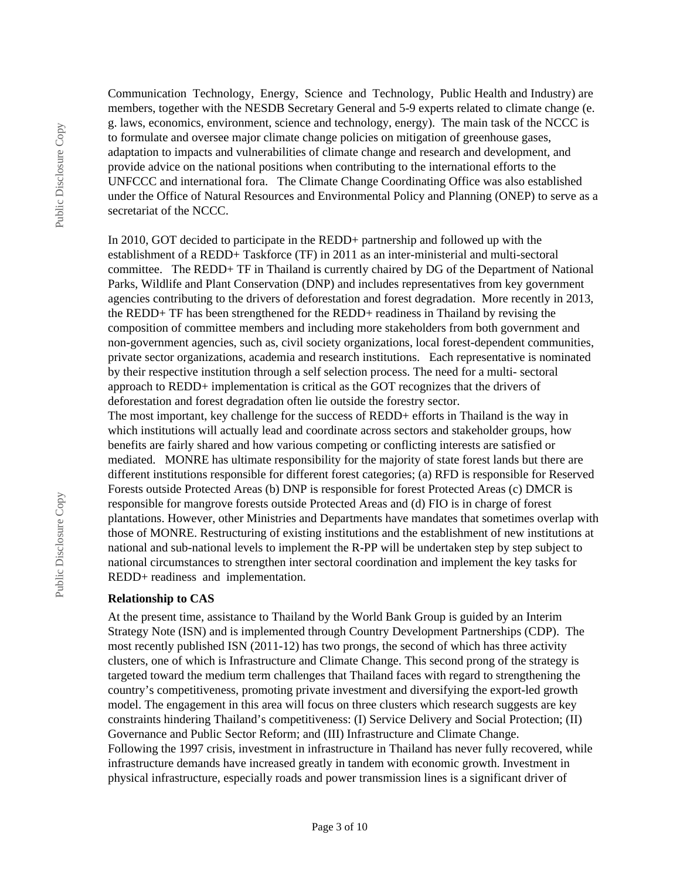Communication Technology, Energy, Science and Technology, Public Health and Industry) are members, together with the NESDB Secretary General and 5-9 experts related to climate change (e. g. laws, economics, environment, science and technology, energy). The main task of the NCCC is to formulate and oversee major climate change policies on mitigation of greenhouse gases, adaptation to impacts and vulnerabilities of climate change and research and development, and provide advice on the national positions when contributing to the international efforts to the UNFCCC and international fora. The Climate Change Coordinating Office was also established under the Office of Natural Resources and Environmental Policy and Planning (ONEP) to serve as a secretariat of the NCCC.

In 2010, GOT decided to participate in the REDD+ partnership and followed up with the establishment of a REDD+ Taskforce (TF) in 2011 as an inter-ministerial and multi-sectoral committee. The REDD+ TF in Thailand is currently chaired by DG of the Department of National Parks, Wildlife and Plant Conservation (DNP) and includes representatives from key government agencies contributing to the drivers of deforestation and forest degradation. More recently in 2013, the REDD+ TF has been strengthened for the REDD+ readiness in Thailand by revising the composition of committee members and including more stakeholders from both government and non-government agencies, such as, civil society organizations, local forest-dependent communities, private sector organizations, academia and research institutions. Each representative is nominated by their respective institution through a self selection process. The need for a multi- sectoral approach to REDD+ implementation is critical as the GOT recognizes that the drivers of deforestation and forest degradation often lie outside the forestry sector.

The most important, key challenge for the success of REDD+ efforts in Thailand is the way in which institutions will actually lead and coordinate across sectors and stakeholder groups, how benefits are fairly shared and how various competing or conflicting interests are satisfied or mediated. MONRE has ultimate responsibility for the majority of state forest lands but there are different institutions responsible for different forest categories; (a) RFD is responsible for Reserved Forests outside Protected Areas (b) DNP is responsible for forest Protected Areas (c) DMCR is responsible for mangrove forests outside Protected Areas and (d) FIO is in charge of forest plantations. However, other Ministries and Departments have mandates that sometimes overlap with those of MONRE. Restructuring of existing institutions and the establishment of new institutions at national and sub-national levels to implement the R-PP will be undertaken step by step subject to national circumstances to strengthen inter sectoral coordination and implement the key tasks for REDD+ readiness and implementation.

#### **Relationship to CAS**

At the present time, assistance to Thailand by the World Bank Group is guided by an Interim Strategy Note (ISN) and is implemented through Country Development Partnerships (CDP). The most recently published ISN (2011-12) has two prongs, the second of which has three activity clusters, one of which is Infrastructure and Climate Change. This second prong of the strategy is targeted toward the medium term challenges that Thailand faces with regard to strengthening the country's competitiveness, promoting private investment and diversifying the export-led growth model. The engagement in this area will focus on three clusters which research suggests are key constraints hindering Thailand's competitiveness: (I) Service Delivery and Social Protection; (II) Governance and Public Sector Reform; and (III) Infrastructure and Climate Change. Following the 1997 crisis, investment in infrastructure in Thailand has never fully recovered, while infrastructure demands have increased greatly in tandem with economic growth. Investment in physical infrastructure, especially roads and power transmission lines is a significant driver of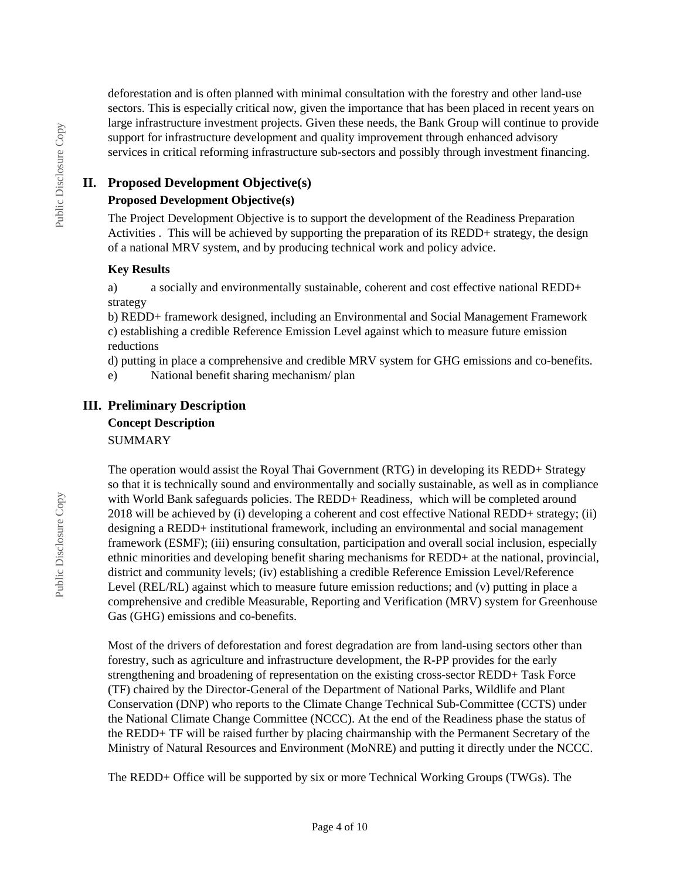deforestation and is often planned with minimal consultation with the forestry and other land-use sectors. This is especially critical now, given the importance that has been placed in recent years on large infrastructure investment projects. Given these needs, the Bank Group will continue to provide support for infrastructure development and quality improvement through enhanced advisory services in critical reforming infrastructure sub-sectors and possibly through investment financing.

## **II. Proposed Development Objective(s)**

## **Proposed Development Objective(s)**

The Project Development Objective is to support the development of the Readiness Preparation Activities . This will be achieved by supporting the preparation of its REDD+ strategy, the design of a national MRV system, and by producing technical work and policy advice.

## **Key Results**

a) a socially and environmentally sustainable, coherent and cost effective national REDD+ strategy

b) REDD+ framework designed, including an Environmental and Social Management Framework c) establishing a credible Reference Emission Level against which to measure future emission reductions

d) putting in place a comprehensive and credible MRV system for GHG emissions and co-benefits.

e) National benefit sharing mechanism/ plan

## **III. Preliminary Description Concept Description**

**SUMMARY** 

The operation would assist the Royal Thai Government (RTG) in developing its REDD+ Strategy so that it is technically sound and environmentally and socially sustainable, as well as in compliance with World Bank safeguards policies. The REDD+ Readiness, which will be completed around 2018 will be achieved by (i) developing a coherent and cost effective National REDD+ strategy; (ii) designing a REDD+ institutional framework, including an environmental and social management framework (ESMF); (iii) ensuring consultation, participation and overall social inclusion, especially ethnic minorities and developing benefit sharing mechanisms for REDD+ at the national, provincial, district and community levels; (iv) establishing a credible Reference Emission Level/Reference Level (REL/RL) against which to measure future emission reductions; and (v) putting in place a comprehensive and credible Measurable, Reporting and Verification (MRV) system for Greenhouse Gas (GHG) emissions and co-benefits.

Most of the drivers of deforestation and forest degradation are from land-using sectors other than forestry, such as agriculture and infrastructure development, the R-PP provides for the early strengthening and broadening of representation on the existing cross-sector REDD+ Task Force (TF) chaired by the Director-General of the Department of National Parks, Wildlife and Plant Conservation (DNP) who reports to the Climate Change Technical Sub-Committee (CCTS) under the National Climate Change Committee (NCCC). At the end of the Readiness phase the status of the REDD+ TF will be raised further by placing chairmanship with the Permanent Secretary of the Ministry of Natural Resources and Environment (MoNRE) and putting it directly under the NCCC.

The REDD+ Office will be supported by six or more Technical Working Groups (TWGs). The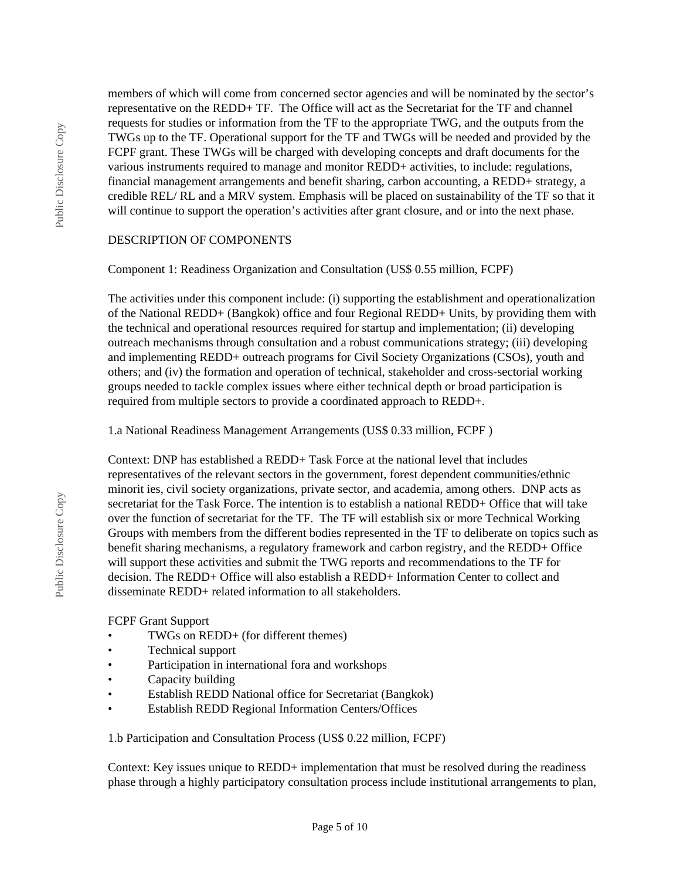Public Disclosure Copy Public Disclosure Copy members of which will come from concerned sector agencies and will be nominated by the sector's representative on the REDD+ TF. The Office will act as the Secretariat for the TF and channel requests for studies or information from the TF to the appropriate TWG, and the outputs from the TWGs up to the TF. Operational support for the TF and TWGs will be needed and provided by the FCPF grant. These TWGs will be charged with developing concepts and draft documents for the various instruments required to manage and monitor REDD+ activities, to include: regulations, financial management arrangements and benefit sharing, carbon accounting, a REDD+ strategy, a credible REL/ RL and a MRV system. Emphasis will be placed on sustainability of the TF so that it will continue to support the operation's activities after grant closure, and or into the next phase.

#### DESCRIPTION OF COMPONENTS

## Component 1: Readiness Organization and Consultation (US\$ 0.55 million, FCPF)

The activities under this component include: (i) supporting the establishment and operationalization of the National REDD+ (Bangkok) office and four Regional REDD+ Units, by providing them with the technical and operational resources required for startup and implementation; (ii) developing outreach mechanisms through consultation and a robust communications strategy; (iii) developing and implementing REDD+ outreach programs for Civil Society Organizations (CSOs), youth and others; and (iv) the formation and operation of technical, stakeholder and cross-sectorial working groups needed to tackle complex issues where either technical depth or broad participation is required from multiple sectors to provide a coordinated approach to REDD+.

1.a National Readiness Management Arrangements (US\$ 0.33 million, FCPF )

Context: DNP has established a REDD+ Task Force at the national level that includes representatives of the relevant sectors in the government, forest dependent communities/ethnic minorit ies, civil society organizations, private sector, and academia, among others. DNP acts as secretariat for the Task Force. The intention is to establish a national REDD+ Office that will take over the function of secretariat for the TF. The TF will establish six or more Technical Working Groups with members from the different bodies represented in the TF to deliberate on topics such as benefit sharing mechanisms, a regulatory framework and carbon registry, and the REDD+ Office will support these activities and submit the TWG reports and recommendations to the TF for decision. The REDD+ Office will also establish a REDD+ Information Center to collect and disseminate REDD+ related information to all stakeholders.

FCPF Grant Support

- TWGs on REDD+ (for different themes)
- Technical support
- Participation in international fora and workshops
- Capacity building
- Establish REDD National office for Secretariat (Bangkok)
- Establish REDD Regional Information Centers/Offices

1.b Participation and Consultation Process (US\$ 0.22 million, FCPF)

Context: Key issues unique to REDD+ implementation that must be resolved during the readiness phase through a highly participatory consultation process include institutional arrangements to plan,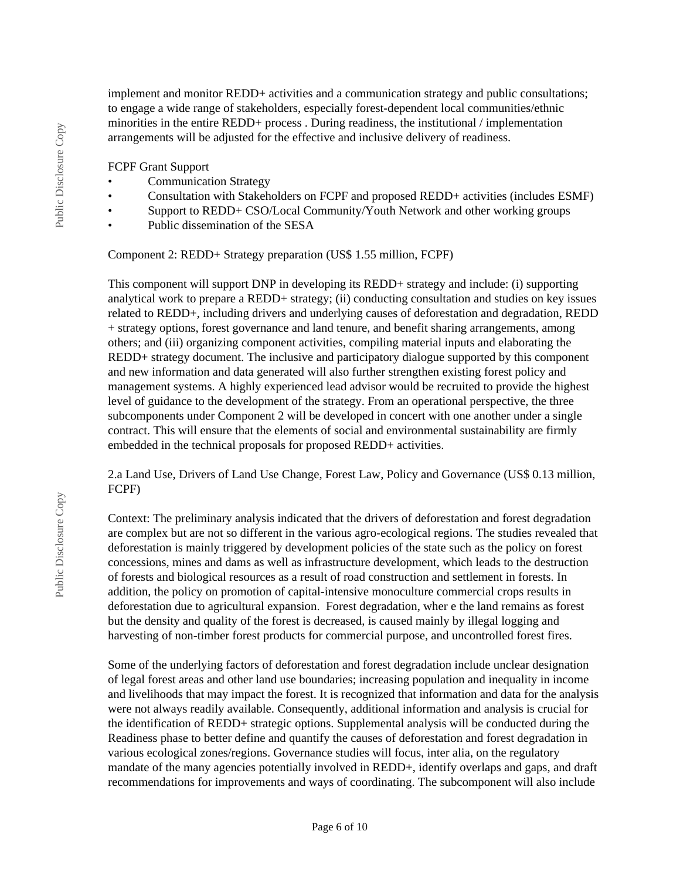implement and monitor REDD+ activities and a communication strategy and public consultations; to engage a wide range of stakeholders, especially forest-dependent local communities/ethnic minorities in the entire REDD+ process . During readiness, the institutional / implementation arrangements will be adjusted for the effective and inclusive delivery of readiness.

FCPF Grant Support

- Communication Strategy
- Consultation with Stakeholders on FCPF and proposed REDD+ activities (includes ESMF)
- Support to REDD+ CSO/Local Community/Youth Network and other working groups
- Public dissemination of the SESA

Component 2: REDD+ Strategy preparation (US\$ 1.55 million, FCPF)

This component will support DNP in developing its REDD+ strategy and include: (i) supporting analytical work to prepare a REDD+ strategy; (ii) conducting consultation and studies on key issues related to REDD+, including drivers and underlying causes of deforestation and degradation, REDD + strategy options, forest governance and land tenure, and benefit sharing arrangements, among others; and (iii) organizing component activities, compiling material inputs and elaborating the REDD+ strategy document. The inclusive and participatory dialogue supported by this component and new information and data generated will also further strengthen existing forest policy and management systems. A highly experienced lead advisor would be recruited to provide the highest level of guidance to the development of the strategy. From an operational perspective, the three subcomponents under Component 2 will be developed in concert with one another under a single contract. This will ensure that the elements of social and environmental sustainability are firmly embedded in the technical proposals for proposed REDD+ activities.

2.a Land Use, Drivers of Land Use Change, Forest Law, Policy and Governance (US\$ 0.13 million, FCPF)

Context: The preliminary analysis indicated that the drivers of deforestation and forest degradation are complex but are not so different in the various agro-ecological regions. The studies revealed that deforestation is mainly triggered by development policies of the state such as the policy on forest concessions, mines and dams as well as infrastructure development, which leads to the destruction of forests and biological resources as a result of road construction and settlement in forests. In addition, the policy on promotion of capital-intensive monoculture commercial crops results in deforestation due to agricultural expansion. Forest degradation, wher e the land remains as forest but the density and quality of the forest is decreased, is caused mainly by illegal logging and harvesting of non-timber forest products for commercial purpose, and uncontrolled forest fires.

Some of the underlying factors of deforestation and forest degradation include unclear designation of legal forest areas and other land use boundaries; increasing population and inequality in income and livelihoods that may impact the forest. It is recognized that information and data for the analysis were not always readily available. Consequently, additional information and analysis is crucial for the identification of REDD+ strategic options. Supplemental analysis will be conducted during the Readiness phase to better define and quantify the causes of deforestation and forest degradation in various ecological zones/regions. Governance studies will focus, inter alia, on the regulatory mandate of the many agencies potentially involved in REDD+, identify overlaps and gaps, and draft recommendations for improvements and ways of coordinating. The subcomponent will also include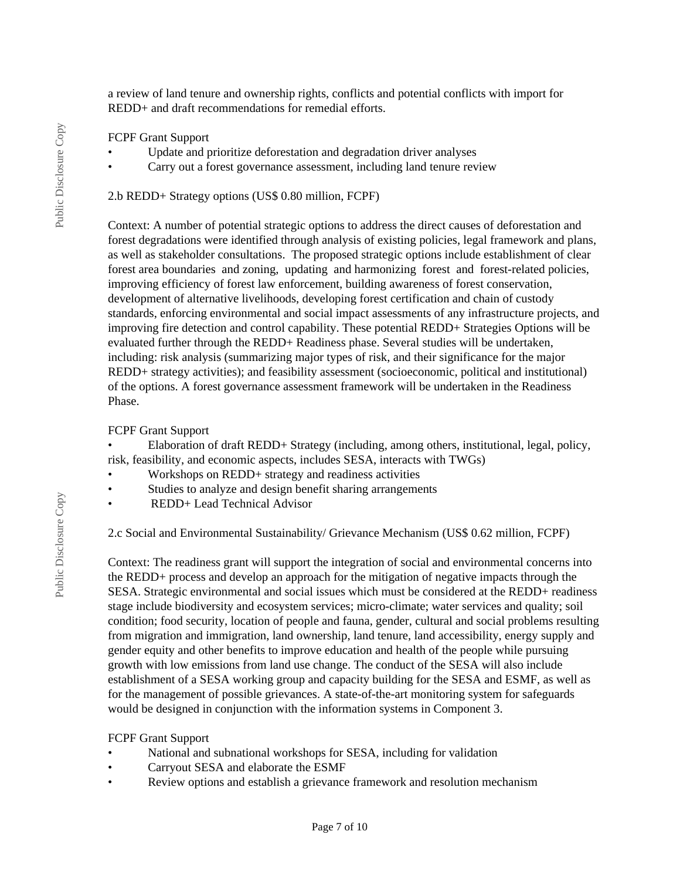a review of land tenure and ownership rights, conflicts and potential conflicts with import for REDD+ and draft recommendations for remedial efforts.

#### FCPF Grant Support

- Update and prioritize deforestation and degradation driver analyses
- Carry out a forest governance assessment, including land tenure review

#### 2.b REDD+ Strategy options (US\$ 0.80 million, FCPF)

Context: A number of potential strategic options to address the direct causes of deforestation and forest degradations were identified through analysis of existing policies, legal framework and plans, as well as stakeholder consultations. The proposed strategic options include establishment of clear forest area boundaries and zoning, updating and harmonizing forest and forest-related policies, improving efficiency of forest law enforcement, building awareness of forest conservation, development of alternative livelihoods, developing forest certification and chain of custody standards, enforcing environmental and social impact assessments of any infrastructure projects, and improving fire detection and control capability. These potential REDD+ Strategies Options will be evaluated further through the REDD+ Readiness phase. Several studies will be undertaken, including: risk analysis (summarizing major types of risk, and their significance for the major REDD+ strategy activities); and feasibility assessment (socioeconomic, political and institutional) of the options. A forest governance assessment framework will be undertaken in the Readiness Phase.

#### FCPF Grant Support

• Elaboration of draft REDD+ Strategy (including, among others, institutional, legal, policy, risk, feasibility, and economic aspects, includes SESA, interacts with TWGs)

- Workshops on REDD+ strategy and readiness activities
- Studies to analyze and design benefit sharing arrangements
- REDD+ Lead Technical Advisor

2.c Social and Environmental Sustainability/ Grievance Mechanism (US\$ 0.62 million, FCPF)

Context: The readiness grant will support the integration of social and environmental concerns into the REDD+ process and develop an approach for the mitigation of negative impacts through the SESA. Strategic environmental and social issues which must be considered at the REDD+ readiness stage include biodiversity and ecosystem services; micro-climate; water services and quality; soil condition; food security, location of people and fauna, gender, cultural and social problems resulting from migration and immigration, land ownership, land tenure, land accessibility, energy supply and gender equity and other benefits to improve education and health of the people while pursuing growth with low emissions from land use change. The conduct of the SESA will also include establishment of a SESA working group and capacity building for the SESA and ESMF, as well as for the management of possible grievances. A state-of-the-art monitoring system for safeguards would be designed in conjunction with the information systems in Component 3.

#### FCPF Grant Support

- National and subnational workshops for SESA, including for validation
- Carryout SESA and elaborate the ESMF
- Review options and establish a grievance framework and resolution mechanism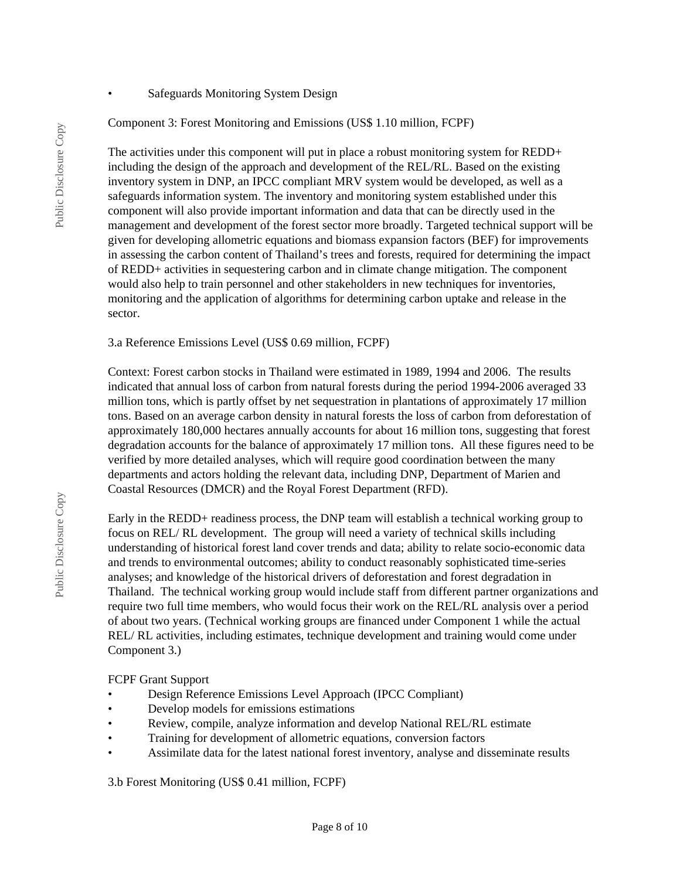• Safeguards Monitoring System Design

Component 3: Forest Monitoring and Emissions (US\$ 1.10 million, FCPF)

The activities under this component will put in place a robust monitoring system for REDD+ including the design of the approach and development of the REL/RL. Based on the existing inventory system in DNP, an IPCC compliant MRV system would be developed, as well as a safeguards information system. The inventory and monitoring system established under this component will also provide important information and data that can be directly used in the management and development of the forest sector more broadly. Targeted technical support will be given for developing allometric equations and biomass expansion factors (BEF) for improvements in assessing the carbon content of Thailand's trees and forests, required for determining the impact of REDD+ activities in sequestering carbon and in climate change mitigation. The component would also help to train personnel and other stakeholders in new techniques for inventories, monitoring and the application of algorithms for determining carbon uptake and release in the sector.

3.a Reference Emissions Level (US\$ 0.69 million, FCPF)

Context: Forest carbon stocks in Thailand were estimated in 1989, 1994 and 2006. The results indicated that annual loss of carbon from natural forests during the period 1994-2006 averaged 33 million tons, which is partly offset by net sequestration in plantations of approximately 17 million tons. Based on an average carbon density in natural forests the loss of carbon from deforestation of approximately 180,000 hectares annually accounts for about 16 million tons, suggesting that forest degradation accounts for the balance of approximately 17 million tons. All these figures need to be verified by more detailed analyses, which will require good coordination between the many departments and actors holding the relevant data, including DNP, Department of Marien and Coastal Resources (DMCR) and the Royal Forest Department (RFD).

Early in the REDD+ readiness process, the DNP team will establish a technical working group to focus on REL/ RL development. The group will need a variety of technical skills including understanding of historical forest land cover trends and data; ability to relate socio-economic data and trends to environmental outcomes; ability to conduct reasonably sophisticated time-series analyses; and knowledge of the historical drivers of deforestation and forest degradation in Thailand. The technical working group would include staff from different partner organizations and require two full time members, who would focus their work on the REL/RL analysis over a period of about two years. (Technical working groups are financed under Component 1 while the actual REL/ RL activities, including estimates, technique development and training would come under Component 3.)

FCPF Grant Support

- Design Reference Emissions Level Approach (IPCC Compliant)
- Develop models for emissions estimations
- Review, compile, analyze information and develop National REL/RL estimate
- Training for development of allometric equations, conversion factors
- Assimilate data for the latest national forest inventory, analyse and disseminate results

3.b Forest Monitoring (US\$ 0.41 million, FCPF)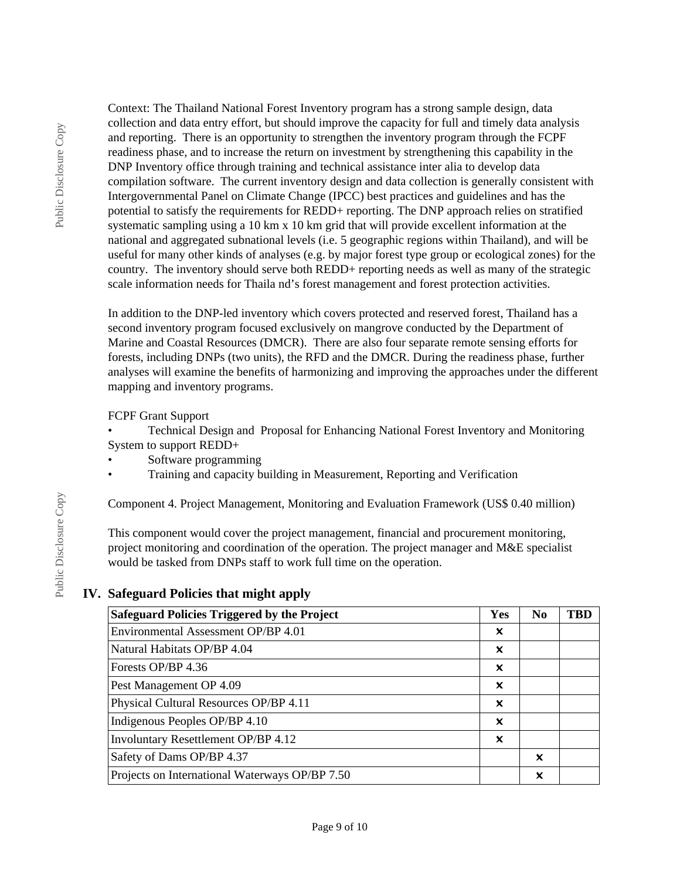Public Disclosure Copy Public Disclosure Copy Context: The Thailand National Forest Inventory program has a strong sample design, data collection and data entry effort, but should improve the capacity for full and timely data analysis and reporting. There is an opportunity to strengthen the inventory program through the FCPF readiness phase, and to increase the return on investment by strengthening this capability in the DNP Inventory office through training and technical assistance inter alia to develop data compilation software. The current inventory design and data collection is generally consistent with Intergovernmental Panel on Climate Change (IPCC) best practices and guidelines and has the potential to satisfy the requirements for REDD+ reporting. The DNP approach relies on stratified systematic sampling using a 10 km x 10 km grid that will provide excellent information at the national and aggregated subnational levels (i.e. 5 geographic regions within Thailand), and will be useful for many other kinds of analyses (e.g. by major forest type group or ecological zones) for the country. The inventory should serve both REDD+ reporting needs as well as many of the strategic scale information needs for Thaila nd's forest management and forest protection activities.

In addition to the DNP-led inventory which covers protected and reserved forest, Thailand has a second inventory program focused exclusively on mangrove conducted by the Department of Marine and Coastal Resources (DMCR). There are also four separate remote sensing efforts for forests, including DNPs (two units), the RFD and the DMCR. During the readiness phase, further analyses will examine the benefits of harmonizing and improving the approaches under the different mapping and inventory programs.

## FCPF Grant Support

• Technical Design and Proposal for Enhancing National Forest Inventory and Monitoring System to support REDD+

- Software programming
- Training and capacity building in Measurement, Reporting and Verification

Component 4. Project Management, Monitoring and Evaluation Framework (US\$ 0.40 million)

This component would cover the project management, financial and procurement monitoring, project monitoring and coordination of the operation. The project manager and M&E specialist would be tasked from DNPs staff to work full time on the operation.

## **IV. Safeguard Policies that might apply**

| <b>Safeguard Policies Triggered by the Project</b> | Yes | N <sub>0</sub> | <b>TBD</b> |
|----------------------------------------------------|-----|----------------|------------|
| Environmental Assessment OP/BP 4.01                | X   |                |            |
| Natural Habitats OP/BP 4.04                        | x   |                |            |
| Forests OP/BP 4.36                                 | X   |                |            |
| Pest Management OP 4.09                            | x   |                |            |
| Physical Cultural Resources OP/BP 4.11             | X   |                |            |
| Indigenous Peoples OP/BP 4.10                      | x   |                |            |
| <b>Involuntary Resettlement OP/BP 4.12</b>         | X   |                |            |
| Safety of Dams OP/BP 4.37                          |     | X              |            |
| Projects on International Waterways OP/BP 7.50     |     | x              |            |